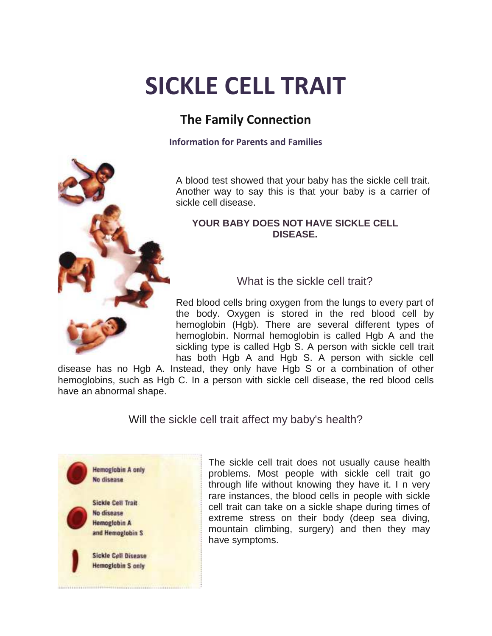# **SICKLE CELL TRAIT**

## **The Family Connection**

**Information for Parents and Families** 

A blood test showed that your baby has the sickle cell trait. Another way to say this is that your baby is a carrier of sickle cell disease.

#### **YOUR BABY DOES NOT HAVE SICKLE CELL DISEASE.**

What is the sickle cell trait?

Red blood cells bring oxygen from the lungs to every part of the body. Oxygen is stored in the red blood cell by hemoglobin (Hgb). There are several different types of hemoglobin. Normal hemoglobin is called Hgb A and the sickling type is called Hgb S. A person with sickle cell trait has both Hgb A and Hgb S. A person with sickle cell

disease has no Hgb A. Instead, they only have Hgb S or a combination of other hemoglobins, such as Hgb C. In a person with sickle cell disease, the red blood cells have an abnormal shape.

Will the sickle cell trait affect my baby's health?



The sickle cell trait does not usually cause health problems. Most people with sickle cell trait go through life without knowing they have it. I n very rare instances, the blood cells in people with sickle cell trait can take on a sickle shape during times of extreme stress on their body (deep sea diving, mountain climbing, surgery) and then they may have symptoms.

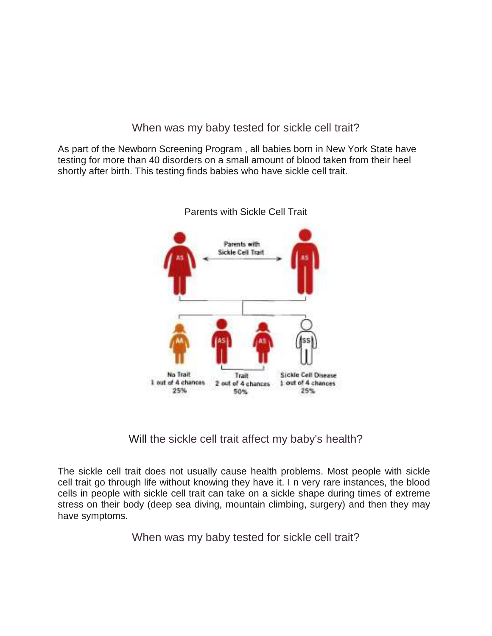When was my baby tested for sickle cell trait?

As part of the Newborn Screening Program , all babies born in New York State have testing for more than 40 disorders on a small amount of blood taken from their heel shortly after birth. This testing finds babies who have sickle cell trait.



Parents with Sickle Cell Trait

Will the sickle cell trait affect my baby's health?

The sickle cell trait does not usually cause health problems. Most people with sickle cell trait go through life without knowing they have it. I n very rare instances, the blood cells in people with sickle cell trait can take on a sickle shape during times of extreme stress on their body (deep sea diving, mountain climbing, surgery) and then they may have symptoms.

When was my baby tested for sickle cell trait?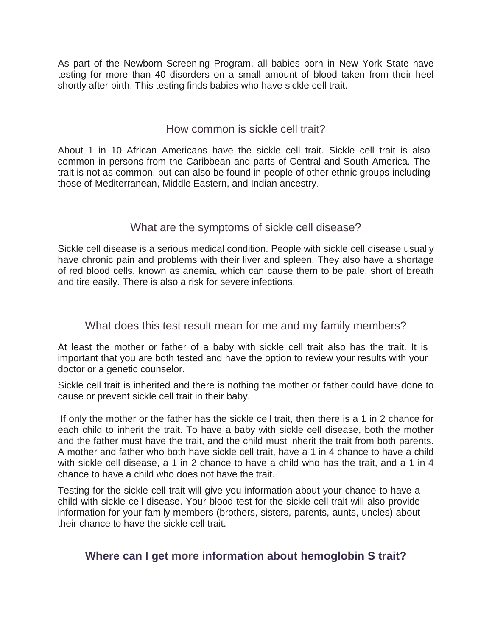As part of the Newborn Screening Program, all babies born in New York State have testing for more than 40 disorders on a small amount of blood taken from their heel shortly after birth. This testing finds babies who have sickle cell trait.

#### How common is sickle cell trait?

About 1 in 10 African Americans have the sickle cell trait. Sickle cell trait is also common in persons from the Caribbean and parts of Central and South America. The trait is not as common, but can also be found in people of other ethnic groups including those of Mediterranean, Middle Eastern, and Indian ancestry.

#### What are the symptoms of sickle cell disease?

Sickle cell disease is a serious medical condition. People with sickle cell disease usually have chronic pain and problems with their liver and spleen. They also have a shortage of red blood cells, known as anemia, which can cause them to be pale, short of breath and tire easily. There is also a risk for severe infections.

#### What does this test result mean for me and my family members?

At least the mother or father of a baby with sickle cell trait also has the trait. It is important that you are both tested and have the option to review your results with your doctor or a genetic counselor.

Sickle cell trait is inherited and there is nothing the mother or father could have done to cause or prevent sickle cell trait in their baby.

If only the mother or the father has the sickle cell trait, then there is a 1 in 2 chance for each child to inherit the trait. To have a baby with sickle cell disease, both the mother and the father must have the trait, and the child must inherit the trait from both parents. A mother and father who both have sickle cell trait, have a 1 in 4 chance to have a child with sickle cell disease, a 1 in 2 chance to have a child who has the trait, and a 1 in 4 chance to have a child who does not have the trait.

Testing for the sickle cell trait will give you information about your chance to have a child with sickle cell disease. Your blood test for the sickle cell trait will also provide information for your family members (brothers, sisters, parents, aunts, uncles) about their chance to have the sickle cell trait.

### **Where can I get more information about hemoglobin S trait?**